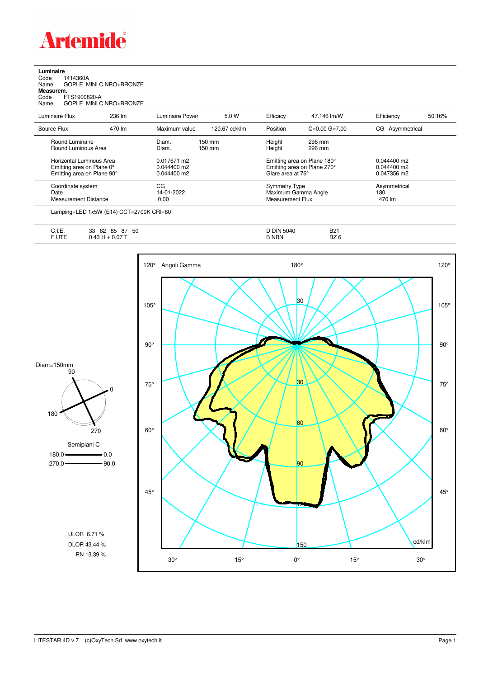

**Luminaire**<br>Code 1<br>Name ( Code 1414360A Name GOPLE MINI C NRO+BRONZE **Measurem.** Code FTS1900820-A Name GOPLE MINI C NRO+BRONZE

| Luminaire Flux                                                                      | 236 lm | Luminaire Power                               | 5.0 W            | Efficacy         | 47.146 lm/W                                                                     | Efficiency                                    | 50.16% |
|-------------------------------------------------------------------------------------|--------|-----------------------------------------------|------------------|------------------|---------------------------------------------------------------------------------|-----------------------------------------------|--------|
| Source Flux                                                                         | 470 lm | Maximum value                                 | 120.67 cd/klm    | Position         | $C=0.00$ $G=7.00$                                                               | CG Asymmetrical                               |        |
| Round Luminaire<br>Round Luminous Area                                              |        | Diam.<br>Diam.                                | 150 mm<br>150 mm | Height<br>Height | 296 mm<br>296 mm                                                                |                                               |        |
| Horizontal Luminous Area<br>Emitting area on Plane 0°<br>Emitting area on Plane 90° |        | 0.017671 m2<br>$0.044400$ m2<br>$0.044400$ m2 |                  |                  | Emitting area on Plane 180°<br>Emitting area on Plane 270°<br>Glare area at 76° | $0.044400$ m2<br>$0.044400$ m2<br>0.047356 m2 |        |
| Coordinate system<br>Date<br><b>Measurement Distance</b>                            |        | CG<br>14-01-2022<br>0.00                      |                  |                  | <b>Symmetry Type</b><br>Maximum Gamma Angle<br>Measurement Flux                 |                                               |        |
|                                                                                     |        |                                               |                  |                  |                                                                                 |                                               |        |

Lamping=LED 1x5W (E14) CCT=2700K CRI=80

| $\overline{1}$<br>∪. I. ⊏. | 50<br>85<br>റ-<br>62<br>າາ<br>ŏ1<br>ບບ | DIN<br>5040<br>ີ | <b>B21</b>              |
|----------------------------|----------------------------------------|------------------|-------------------------|
| $F \cup T$<br>◡੶∟          | J.U7<br><b>TL.</b>                     | <b>NBN</b>       | $ -$<br>D70<br>BZ.<br>∼ |